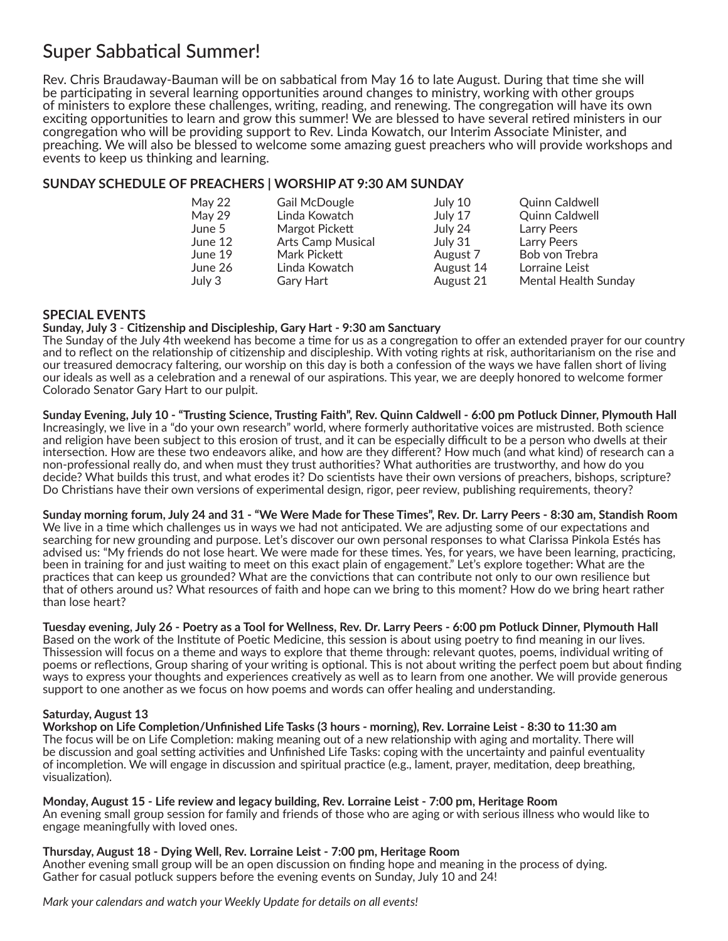# Super Sabbatical Summer!

Rev. Chris Braudaway-Bauman will be on sabbatical from May 16 to late August. During that time she will be participating in several learning opportunities around changes to ministry, working with other groups of ministers to explore these challenges, writing, reading, and renewing. The congregation will have its own exciting opportunities to learn and grow this summer! We are blessed to have several retired ministers in our congregation who will be providing support to Rev. Linda Kowatch, our Interim Associate Minister, and preaching. We will also be blessed to welcome some amazing guest preachers who will provide workshops and events to keep us thinking and learning.

## **SUNDAY SCHEDULE OF PREACHERS | WORSHIP AT 9:30 AM SUNDAY**

| May 22  | Gail McDougle            | July 10   | <b>Quinn Caldwell</b> |
|---------|--------------------------|-----------|-----------------------|
| May 29  | Linda Kowatch            | July 17   | Quinn Caldwell        |
| June 5  | Margot Pickett           | July 24   | <b>Larry Peers</b>    |
| June 12 | <b>Arts Camp Musical</b> | July 31   | <b>Larry Peers</b>    |
| June 19 | Mark Pickett             | August 7  | Bob von Trebra        |
| June 26 | Linda Kowatch            | August 14 | Lorraine Leist        |
| July 3  | Gary Hart                | August 21 | Mental Health Sunday  |

## **SPECIAL EVENTS**

### **Sunday, July 3** - **Citizenship and Discipleship, Gary Hart - 9:30 am Sanctuary**

The Sunday of the July 4th weekend has become a time for us as a congregation to offer an extended prayer for our country and to reflect on the relationship of citizenship and discipleship. With voting rights at risk, authoritarianism on the rise and our treasured democracy faltering, our worship on this day is both a confession of the ways we have fallen short of living our ideals as well as a celebration and a renewal of our aspirations. This year, we are deeply honored to welcome former Colorado Senator Gary Hart to our pulpit.

**Sunday Evening, July 10 - "Trusting Science, Trusting Faith", Rev. Quinn Caldwell - 6:00 pm Potluck Dinner, Plymouth Hall** Increasingly, we live in a "do your own research" world, where formerly authoritative voices are mistrusted. Both science and religion have been subject to this erosion of trust, and it can be especially difficult to be a person who dwells at their intersection. How are these two endeavors alike, and how are they different? How much (and what kind) of research can a non-professional really do, and when must they trust authorities? What authorities are trustworthy, and how do you decide? What builds this trust, and what erodes it? Do scientists have their own versions of preachers, bishops, scripture? Do Christians have their own versions of experimental design, rigor, peer review, publishing requirements, theory?

**Sunday morning forum, July 24 and 31 - "We Were Made for These Times", Rev. Dr. Larry Peers - 8:30 am, Standish Room** We live in a time which challenges us in ways we had not anticipated. We are adjusting some of our expectations and searching for new grounding and purpose. Let's discover our own personal responses to what Clarissa Pinkola Estés has advised us: "My friends do not lose heart. We were made for these times. Yes, for years, we have been learning, practicing, been in training for and just waiting to meet on this exact plain of engagement." Let's explore together: What are the practices that can keep us grounded? What are the convictions that can contribute not only to our own resilience but that of others around us? What resources of faith and hope can we bring to this moment? How do we bring heart rather than lose heart?

## **Tuesday evening, July 26 - Poetry as a Tool for Wellness, Rev. Dr. Larry Peers - 6:00 pm Potluck Dinner, Plymouth Hall**

Based on the work of the Institute of Poetic Medicine, this session is about using poetry to find meaning in our lives. Thissession will focus on a theme and ways to explore that theme through: relevant quotes, poems, individual writing of poems or reflections, Group sharing of your writing is optional. This is not about writing the perfect poem but about finding ways to express your thoughts and experiences creatively as well as to learn from one another. We will provide generous support to one another as we focus on how poems and words can offer healing and understanding.

## **Saturday, August 13**

**Workshop on Life Completion/Unfinished Life Tasks (3 hours - morning), Rev. Lorraine Leist - 8:30 to 11:30 am** The focus will be on Life Completion: making meaning out of a new relationship with aging and mortality. There will be discussion and goal setting activities and Unfinished Life Tasks: coping with the uncertainty and painful eventuality of incompletion. We will engage in discussion and spiritual practice (e.g., lament, prayer, meditation, deep breathing, visualization).

#### **Monday, August 15 - Life review and legacy building, Rev. Lorraine Leist - 7:00 pm, Heritage Room**

An evening small group session for family and friends of those who are aging or with serious illness who would like to engage meaningfully with loved ones.

#### **Thursday, August 18 - Dying Well, Rev. Lorraine Leist - 7:00 pm, Heritage Room**

Another evening small group will be an open discussion on finding hope and meaning in the process of dying. Gather for casual potluck suppers before the evening events on Sunday, July 10 and 24!

### *Mark your calendars and watch your Weekly Update for details on all events!*